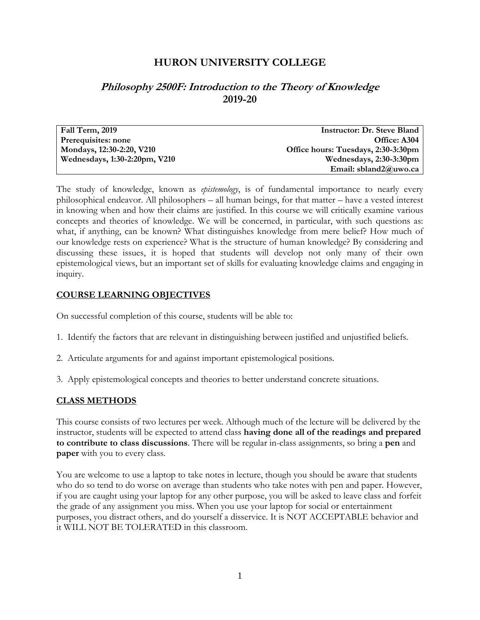# **HURON UNIVERSITY COLLEGE**

# **Philosophy 2500F: Introduction to the Theory of Knowledge 2019-20**

| Fall Term, 2019               | <b>Instructor: Dr. Steve Bland</b>  |
|-------------------------------|-------------------------------------|
| Prerequisites: none           | Office: A304                        |
| Mondays, 12:30-2:20, V210     | Office hours: Tuesdays, 2:30-3:30pm |
| Wednesdays, 1:30-2:20pm, V210 | Wednesdays, 2:30-3:30pm             |
|                               | Email: sbland2@uwo.ca               |

The study of knowledge, known as *epistemology*, is of fundamental importance to nearly every philosophical endeavor. All philosophers – all human beings, for that matter – have a vested interest in knowing when and how their claims are justified. In this course we will critically examine various concepts and theories of knowledge. We will be concerned, in particular, with such questions as: what, if anything, can be known? What distinguishes knowledge from mere belief? How much of our knowledge rests on experience? What is the structure of human knowledge? By considering and discussing these issues, it is hoped that students will develop not only many of their own epistemological views, but an important set of skills for evaluating knowledge claims and engaging in inquiry.

## **COURSE LEARNING OBJECTIVES**

On successful completion of this course, students will be able to:

- 1. Identify the factors that are relevant in distinguishing between justified and unjustified beliefs.
- 2. Articulate arguments for and against important epistemological positions.
- 3. Apply epistemological concepts and theories to better understand concrete situations.

## **CLASS METHODS**

This course consists of two lectures per week. Although much of the lecture will be delivered by the instructor, students will be expected to attend class **having done all of the readings and prepared to contribute to class discussions**. There will be regular in-class assignments, so bring a **pen** and **paper** with you to every class.

You are welcome to use a laptop to take notes in lecture, though you should be aware that students who do so tend to do worse on average than students who take notes with pen and paper. However, if you are caught using your laptop for any other purpose, you will be asked to leave class and forfeit the grade of any assignment you miss. When you use your laptop for social or entertainment purposes, you distract others, and do yourself a disservice. It is NOT ACCEPTABLE behavior and it WILL NOT BE TOLERATED in this classroom.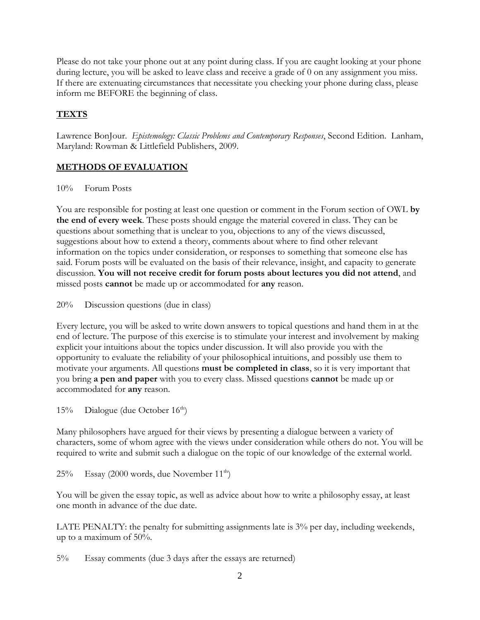Please do not take your phone out at any point during class. If you are caught looking at your phone during lecture, you will be asked to leave class and receive a grade of 0 on any assignment you miss. If there are extenuating circumstances that necessitate you checking your phone during class, please inform me BEFORE the beginning of class.

## **TEXTS**

Lawrence BonJour. *Epistemology: Classic Problems and Contemporary Responses*, Second Edition. Lanham, Maryland: Rowman & Littlefield Publishers, 2009.

## **METHODS OF EVALUATION**

## 10% Forum Posts

You are responsible for posting at least one question or comment in the Forum section of OWL **by the end of every week**. These posts should engage the material covered in class. They can be questions about something that is unclear to you, objections to any of the views discussed, suggestions about how to extend a theory, comments about where to find other relevant information on the topics under consideration, or responses to something that someone else has said. Forum posts will be evaluated on the basis of their relevance, insight, and capacity to generate discussion. **You will not receive credit for forum posts about lectures you did not attend**, and missed posts **cannot** be made up or accommodated for **any** reason.

20% Discussion questions (due in class)

Every lecture, you will be asked to write down answers to topical questions and hand them in at the end of lecture. The purpose of this exercise is to stimulate your interest and involvement by making explicit your intuitions about the topics under discussion. It will also provide you with the opportunity to evaluate the reliability of your philosophical intuitions, and possibly use them to motivate your arguments. All questions **must be completed in class**, so it is very important that you bring **a pen and paper** with you to every class. Missed questions **cannot** be made up or accommodated for **any** reason.

15% Dialogue (due October  $16<sup>th</sup>$ )

Many philosophers have argued for their views by presenting a dialogue between a variety of characters, some of whom agree with the views under consideration while others do not. You will be required to write and submit such a dialogue on the topic of our knowledge of the external world.

 $25\%$  Essay (2000 words, due November  $11<sup>th</sup>$ )

You will be given the essay topic, as well as advice about how to write a philosophy essay, at least one month in advance of the due date.

LATE PENALTY: the penalty for submitting assignments late is 3% per day, including weekends, up to a maximum of 50%.

5% Essay comments (due 3 days after the essays are returned)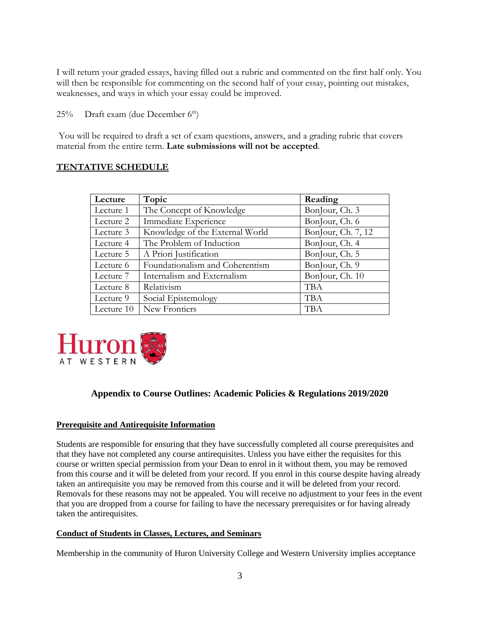I will return your graded essays, having filled out a rubric and commented on the first half only. You will then be responsible for commenting on the second half of your essay, pointing out mistakes, weaknesses, and ways in which your essay could be improved.

 $25\%$  Draft exam (due December 6<sup>th</sup>)

You will be required to draft a set of exam questions, answers, and a grading rubric that covers material from the entire term. **Late submissions will not be accepted**.

## **TENTATIVE SCHEDULE**

| Lecture    | Topic                           | Reading            |
|------------|---------------------------------|--------------------|
| Lecture 1  | The Concept of Knowledge        | BonJour, Ch. 3     |
| Lecture 2  | Immediate Experience            | BonJour, Ch. 6     |
| Lecture 3  | Knowledge of the External World | BonJour, Ch. 7, 12 |
| Lecture 4  | The Problem of Induction        | BonJour, Ch. 4     |
| Lecture 5  | A Priori Justification          | BonJour, Ch. 5     |
| Lecture 6  | Foundationalism and Coherentism | BonJour, Ch. 9     |
| Lecture 7  | Internalism and Externalism     | BonJour, Ch. 10    |
| Lecture 8  | Relativism                      | <b>TBA</b>         |
| Lecture 9  | Social Epistemology             | <b>TBA</b>         |
| Lecture 10 | New Frontiers                   | TBA                |



# **Appendix to Course Outlines: Academic Policies & Regulations 2019/2020**

## **Prerequisite and Antirequisite Information**

Students are responsible for ensuring that they have successfully completed all course prerequisites and that they have not completed any course antirequisites. Unless you have either the requisites for this course or written special permission from your Dean to enrol in it without them, you may be removed from this course and it will be deleted from your record. If you enrol in this course despite having already taken an antirequisite you may be removed from this course and it will be deleted from your record. Removals for these reasons may not be appealed. You will receive no adjustment to your fees in the event that you are dropped from a course for failing to have the necessary prerequisites or for having already taken the antirequisites.

## **Conduct of Students in Classes, Lectures, and Seminars**

Membership in the community of Huron University College and Western University implies acceptance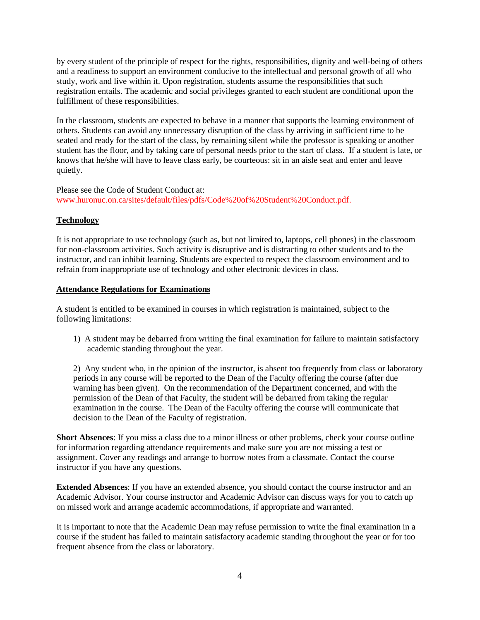by every student of the principle of respect for the rights, responsibilities, dignity and well-being of others and a readiness to support an environment conducive to the intellectual and personal growth of all who study, work and live within it. Upon registration, students assume the responsibilities that such registration entails. The academic and social privileges granted to each student are conditional upon the fulfillment of these responsibilities.

In the classroom, students are expected to behave in a manner that supports the learning environment of others. Students can avoid any unnecessary disruption of the class by arriving in sufficient time to be seated and ready for the start of the class, by remaining silent while the professor is speaking or another student has the floor, and by taking care of personal needs prior to the start of class. If a student is late, or knows that he/she will have to leave class early, be courteous: sit in an aisle seat and enter and leave quietly.

Please see the Code of Student Conduct at: [www.huronuc.on.ca/sites/default/files/pdfs/Code%20of%20Student%20Conduct.pdf.](http://www.huronuc.on.ca/sites/default/files/pdfs/Code%20of%20Student%20Conduct.pdf)

### **Technology**

It is not appropriate to use technology (such as, but not limited to, laptops, cell phones) in the classroom for non-classroom activities. Such activity is disruptive and is distracting to other students and to the instructor, and can inhibit learning. Students are expected to respect the classroom environment and to refrain from inappropriate use of technology and other electronic devices in class.

#### **Attendance Regulations for Examinations**

A student is entitled to be examined in courses in which registration is maintained, subject to the following limitations:

1) A student may be debarred from writing the final examination for failure to maintain satisfactory academic standing throughout the year.

2) Any student who, in the opinion of the instructor, is absent too frequently from class or laboratory periods in any course will be reported to the Dean of the Faculty offering the course (after due warning has been given). On the recommendation of the Department concerned, and with the permission of the Dean of that Faculty, the student will be debarred from taking the regular examination in the course. The Dean of the Faculty offering the course will communicate that decision to the Dean of the Faculty of registration.

**Short Absences**: If you miss a class due to a minor illness or other problems, check your course outline for information regarding attendance requirements and make sure you are not missing a test or assignment. Cover any readings and arrange to borrow notes from a classmate. Contact the course instructor if you have any questions.

**Extended Absences**: If you have an extended absence, you should contact the course instructor and an Academic Advisor. Your course instructor and Academic Advisor can discuss ways for you to catch up on missed work and arrange academic accommodations, if appropriate and warranted.

It is important to note that the Academic Dean may refuse permission to write the final examination in a course if the student has failed to maintain satisfactory academic standing throughout the year or for too frequent absence from the class or laboratory.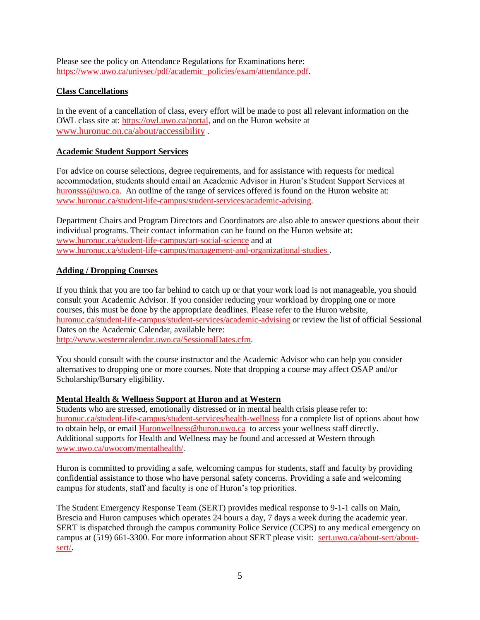Please see the policy on Attendance Regulations for Examinations here: [https://www.uwo.ca/univsec/pdf/academic\\_policies/exam/attendance.pdf.](https://www.uwo.ca/univsec/pdf/academic_policies/exam/attendance.pdf)

### **Class Cancellations**

In the event of a cancellation of class, every effort will be made to post all relevant information on the OWL class site at: [https://owl.uwo.ca/portal,](https://owl.uwo.ca/portal) and on the Huron website at [www.huronuc.on.ca/about/accessibility](http://www.huronuc.on.ca/about/accessibility) .

#### **Academic Student Support Services**

For advice on course selections, degree requirements, and for assistance with requests for medical accommodation, students should email an Academic Advisor in Huron's Student Support Services at [huronsss@uwo.ca.](mailto:huronsss@uwo.ca) An outline of the range of services offered is found on the Huron website at: [www.huronuc.ca/student-life-campus/student-services/academic-advising.](http://www.huronuc.ca/student-life-campus/student-services/academic-advising)

Department Chairs and Program Directors and Coordinators are also able to answer questions about their individual programs. Their contact information can be found on the Huron website at: [www.huronuc.ca/student-life-campus/art-social-science](http://www.huronuc.ca/student-life-campus/art-social-science) and at [www.huronuc.ca/student-life-campus/management-and-organizational-studies](http://www.huronuc.ca/student-life-campus/management-and-organizational-studies) .

#### **Adding / Dropping Courses**

If you think that you are too far behind to catch up or that your work load is not manageable, you should consult your Academic Advisor. If you consider reducing your workload by dropping one or more courses, this must be done by the appropriate deadlines. Please refer to the Huron website, [huronuc.ca/student-life-campus/student-services/academic-advising](https://huronuc.ca/student-life-campus/student-services/academic-advising) or review the list of official Sessional Dates on the Academic Calendar, available here: [http://www.westerncalendar.uwo.ca/SessionalDates.cfm.](http://www.westerncalendar.uwo.ca/SessionalDates.cfm)

You should consult with the course instructor and the Academic Advisor who can help you consider alternatives to dropping one or more courses. Note that dropping a course may affect OSAP and/or Scholarship/Bursary eligibility.

#### **Mental Health & Wellness Support at Huron and at Western**

Students who are stressed, emotionally distressed or in mental health crisis please refer to: [huronuc.ca/student-life-campus/student-services/health-wellness](https://huronuc.ca/student-life-campus/student-services/health-wellness) for a complete list of options about how to obtain help, or email [Huronwellness@huron.uwo.ca](mailto:Huronwellness@huron.uwo.ca) to access your wellness staff directly. Additional supports for Health and Wellness may be found and accessed at Western through [www.uwo.ca/uwocom/mentalhealth/.](http://www.uwo.ca/uwocom/mentalhealth/)

Huron is committed to providing a safe, welcoming campus for students, staff and faculty by providing confidential assistance to those who have personal safety concerns. Providing a safe and welcoming campus for students, staff and faculty is one of Huron's top priorities.

The Student Emergency Response Team (SERT) provides medical response to 9-1-1 calls on Main, Brescia and Huron campuses which operates 24 hours a day, 7 days a week during the academic year. SERT is dispatched through the campus community Police Service (CCPS) to any medical emergency on campus at (519) 661-3300. For more information about SERT please visit: [sert.uwo.ca/about-sert/about](https://sert.uwo.ca/about-sert/about-sert/)[sert/.](https://sert.uwo.ca/about-sert/about-sert/)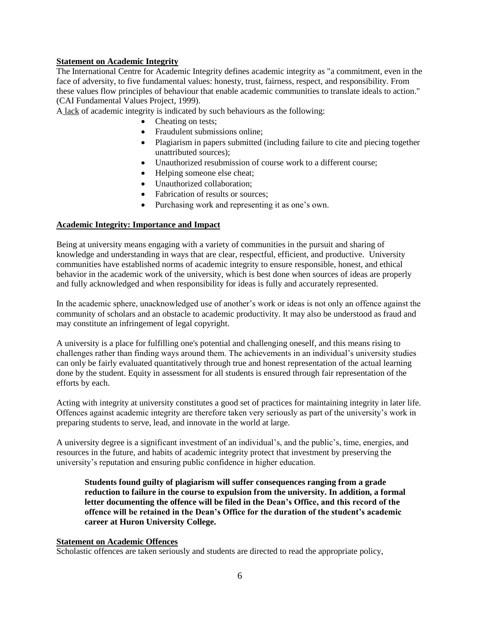#### **Statement on Academic Integrity**

The International Centre for Academic Integrity defines academic integrity as "a commitment, even in the face of adversity, to five fundamental values: honesty, trust, fairness, respect, and responsibility. From these values flow principles of behaviour that enable academic communities to translate ideals to action." (CAI Fundamental Values Project, 1999).

A lack of academic integrity is indicated by such behaviours as the following:

- Cheating on tests;
- Fraudulent submissions online;
- Plagiarism in papers submitted (including failure to cite and piecing together unattributed sources);
- Unauthorized resubmission of course work to a different course;
- Helping someone else cheat:
- Unauthorized collaboration:
- Fabrication of results or sources;
- Purchasing work and representing it as one's own.

#### **Academic Integrity: Importance and Impact**

Being at university means engaging with a variety of communities in the pursuit and sharing of knowledge and understanding in ways that are clear, respectful, efficient, and productive. University communities have established norms of academic integrity to ensure responsible, honest, and ethical behavior in the academic work of the university, which is best done when sources of ideas are properly and fully acknowledged and when responsibility for ideas is fully and accurately represented.

In the academic sphere, unacknowledged use of another's work or ideas is not only an offence against the community of scholars and an obstacle to academic productivity. It may also be understood as fraud and may constitute an infringement of legal copyright.

A university is a place for fulfilling one's potential and challenging oneself, and this means rising to challenges rather than finding ways around them. The achievements in an individual's university studies can only be fairly evaluated quantitatively through true and honest representation of the actual learning done by the student. Equity in assessment for all students is ensured through fair representation of the efforts by each.

Acting with integrity at university constitutes a good set of practices for maintaining integrity in later life. Offences against academic integrity are therefore taken very seriously as part of the university's work in preparing students to serve, lead, and innovate in the world at large.

A university degree is a significant investment of an individual's, and the public's, time, energies, and resources in the future, and habits of academic integrity protect that investment by preserving the university's reputation and ensuring public confidence in higher education.

**Students found guilty of plagiarism will suffer consequences ranging from a grade reduction to failure in the course to expulsion from the university. In addition, a formal letter documenting the offence will be filed in the Dean's Office, and this record of the offence will be retained in the Dean's Office for the duration of the student's academic career at Huron University College.**

#### **Statement on Academic Offences**

Scholastic offences are taken seriously and students are directed to read the appropriate policy,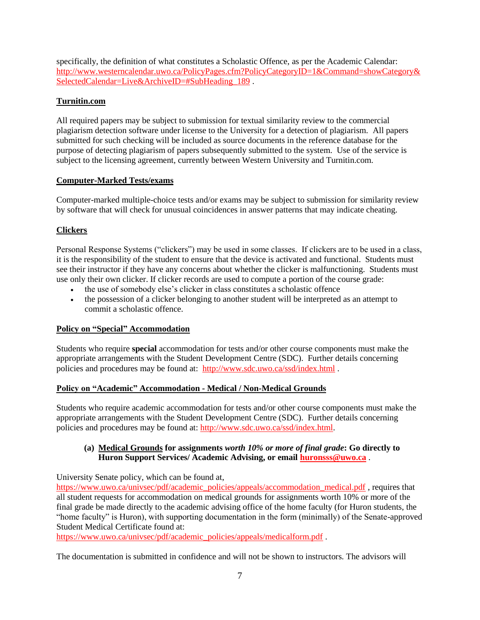specifically, the definition of what constitutes a Scholastic Offence, as per the Academic Calendar: [http://www.westerncalendar.uwo.ca/PolicyPages.cfm?PolicyCategoryID=1&Command=showCategory&](http://www.westerncalendar.uwo.ca/PolicyPages.cfm?PolicyCategoryID=1&Command=showCategory&SelectedCalendar=Live&ArchiveID=#SubHeading_189) [SelectedCalendar=Live&ArchiveID=#SubHeading\\_189](http://www.westerncalendar.uwo.ca/PolicyPages.cfm?PolicyCategoryID=1&Command=showCategory&SelectedCalendar=Live&ArchiveID=#SubHeading_189) .

## **Turnitin.com**

All required papers may be subject to submission for textual similarity review to the commercial plagiarism detection software under license to the University for a detection of plagiarism. All papers submitted for such checking will be included as source documents in the reference database for the purpose of detecting plagiarism of papers subsequently submitted to the system. Use of the service is subject to the licensing agreement, currently between Western University and Turnitin.com.

## **Computer-Marked Tests/exams**

Computer-marked multiple-choice tests and/or exams may be subject to submission for similarity review by software that will check for unusual coincidences in answer patterns that may indicate cheating.

## **Clickers**

Personal Response Systems ("clickers") may be used in some classes. If clickers are to be used in a class, it is the responsibility of the student to ensure that the device is activated and functional. Students must see their instructor if they have any concerns about whether the clicker is malfunctioning. Students must use only their own clicker. If clicker records are used to compute a portion of the course grade:

- the use of somebody else's clicker in class constitutes a scholastic offence
- the possession of a clicker belonging to another student will be interpreted as an attempt to commit a scholastic offence.

## **Policy on "Special" Accommodation**

Students who require **special** accommodation for tests and/or other course components must make the appropriate arrangements with the Student Development Centre (SDC). Further details concerning policies and procedures may be found at: <http://www.sdc.uwo.ca/ssd/index.html> .

## **Policy on "Academic" Accommodation - Medical / Non-Medical Grounds**

Students who require academic accommodation for tests and/or other course components must make the appropriate arrangements with the Student Development Centre (SDC). Further details concerning policies and procedures may be found at: [http://www.sdc.uwo.ca/ssd/index.html.](http://www.sdc.uwo.ca/ssd/index.html)

## **(a) Medical Grounds for assignments** *worth 10% or more of final grade***: Go directly to Huron Support Services/ Academic Advising, or email [huronsss@uwo.ca](mailto:huronsss@uwo.ca)** .

University Senate policy, which can be found at,

[https://www.uwo.ca/univsec/pdf/academic\\_policies/appeals/accommodation\\_medical.pdf](https://www.uwo.ca/univsec/pdf/academic_policies/appeals/accommodation_medical.pdf) , requires that all student requests for accommodation on medical grounds for assignments worth 10% or more of the final grade be made directly to the academic advising office of the home faculty (for Huron students, the "home faculty" is Huron), with supporting documentation in the form (minimally) of the Senate-approved Student Medical Certificate found at:

[https://www.uwo.ca/univsec/pdf/academic\\_policies/appeals/medicalform.pdf](https://www.uwo.ca/univsec/pdf/academic_policies/appeals/medicalform.pdf).

The documentation is submitted in confidence and will not be shown to instructors. The advisors will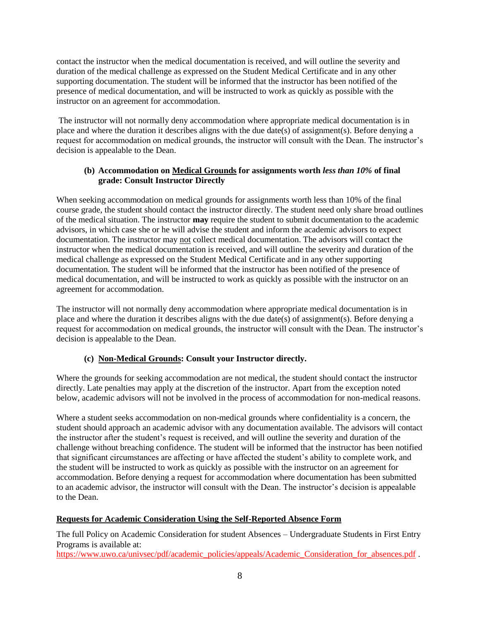contact the instructor when the medical documentation is received, and will outline the severity and duration of the medical challenge as expressed on the Student Medical Certificate and in any other supporting documentation. The student will be informed that the instructor has been notified of the presence of medical documentation, and will be instructed to work as quickly as possible with the instructor on an agreement for accommodation.

The instructor will not normally deny accommodation where appropriate medical documentation is in place and where the duration it describes aligns with the due date(s) of assignment(s). Before denying a request for accommodation on medical grounds, the instructor will consult with the Dean. The instructor's decision is appealable to the Dean.

## **(b) Accommodation on Medical Grounds for assignments worth** *less than 10%* **of final grade: Consult Instructor Directly**

When seeking accommodation on medical grounds for assignments worth less than 10% of the final course grade, the student should contact the instructor directly. The student need only share broad outlines of the medical situation. The instructor **may** require the student to submit documentation to the academic advisors, in which case she or he will advise the student and inform the academic advisors to expect documentation. The instructor may not collect medical documentation. The advisors will contact the instructor when the medical documentation is received, and will outline the severity and duration of the medical challenge as expressed on the Student Medical Certificate and in any other supporting documentation. The student will be informed that the instructor has been notified of the presence of medical documentation, and will be instructed to work as quickly as possible with the instructor on an agreement for accommodation.

The instructor will not normally deny accommodation where appropriate medical documentation is in place and where the duration it describes aligns with the due date(s) of assignment(s). Before denying a request for accommodation on medical grounds, the instructor will consult with the Dean. The instructor's decision is appealable to the Dean.

## **(c) Non-Medical Grounds: Consult your Instructor directly.**

Where the grounds for seeking accommodation are not medical, the student should contact the instructor directly. Late penalties may apply at the discretion of the instructor. Apart from the exception noted below, academic advisors will not be involved in the process of accommodation for non-medical reasons.

Where a student seeks accommodation on non-medical grounds where confidentiality is a concern, the student should approach an academic advisor with any documentation available. The advisors will contact the instructor after the student's request is received, and will outline the severity and duration of the challenge without breaching confidence. The student will be informed that the instructor has been notified that significant circumstances are affecting or have affected the student's ability to complete work, and the student will be instructed to work as quickly as possible with the instructor on an agreement for accommodation. Before denying a request for accommodation where documentation has been submitted to an academic advisor, the instructor will consult with the Dean. The instructor's decision is appealable to the Dean.

## **Requests for Academic Consideration Using the Self-Reported Absence Form**

The full Policy on Academic Consideration for student Absences – Undergraduate Students in First Entry Programs is available at:

[https://www.uwo.ca/univsec/pdf/academic\\_policies/appeals/Academic\\_Consideration\\_for\\_absences.pdf](https://www.uwo.ca/univsec/pdf/academic_policies/appeals/Academic_Consideration_for_absences.pdf) .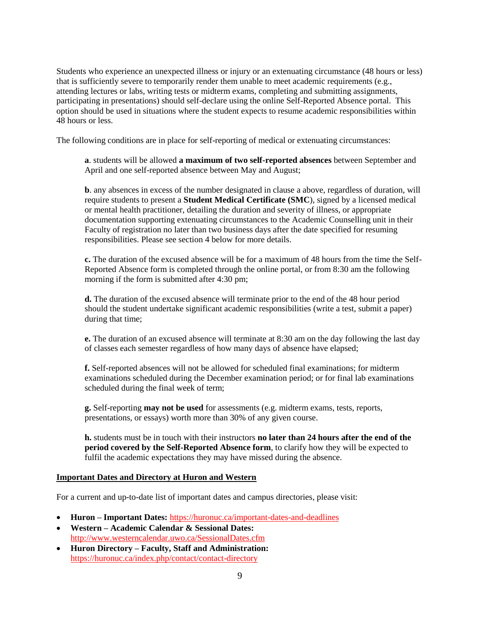Students who experience an unexpected illness or injury or an extenuating circumstance (48 hours or less) that is sufficiently severe to temporarily render them unable to meet academic requirements (e.g., attending lectures or labs, writing tests or midterm exams, completing and submitting assignments, participating in presentations) should self-declare using the online Self-Reported Absence portal. This option should be used in situations where the student expects to resume academic responsibilities within 48 hours or less.

The following conditions are in place for self-reporting of medical or extenuating circumstances:

**a**. students will be allowed **a maximum of two self-reported absences** between September and April and one self-reported absence between May and August;

**b**. any absences in excess of the number designated in clause a above, regardless of duration, will require students to present a **Student Medical Certificate (SMC**), signed by a licensed medical or mental health practitioner, detailing the duration and severity of illness, or appropriate documentation supporting extenuating circumstances to the Academic Counselling unit in their Faculty of registration no later than two business days after the date specified for resuming responsibilities. Please see section 4 below for more details.

**c.** The duration of the excused absence will be for a maximum of 48 hours from the time the Self-Reported Absence form is completed through the online portal, or from 8:30 am the following morning if the form is submitted after 4:30 pm;

**d.** The duration of the excused absence will terminate prior to the end of the 48 hour period should the student undertake significant academic responsibilities (write a test, submit a paper) during that time;

**e.** The duration of an excused absence will terminate at 8:30 am on the day following the last day of classes each semester regardless of how many days of absence have elapsed;

**f.** Self-reported absences will not be allowed for scheduled final examinations; for midterm examinations scheduled during the December examination period; or for final lab examinations scheduled during the final week of term;

**g.** Self-reporting **may not be used** for assessments (e.g. midterm exams, tests, reports, presentations, or essays) worth more than 30% of any given course.

**h.** students must be in touch with their instructors **no later than 24 hours after the end of the period covered by the Self-Reported Absence form**, to clarify how they will be expected to fulfil the academic expectations they may have missed during the absence.

#### **Important Dates and Directory at Huron and Western**

For a current and up-to-date list of important dates and campus directories, please visit:

- **Huron – Important Dates:** <https://huronuc.ca/important-dates-and-deadlines>
- **Western – Academic Calendar & Sessional Dates:** <http://www.westerncalendar.uwo.ca/SessionalDates.cfm>
- **Huron Directory – Faculty, Staff and Administration:** <https://huronuc.ca/index.php/contact/contact-directory>